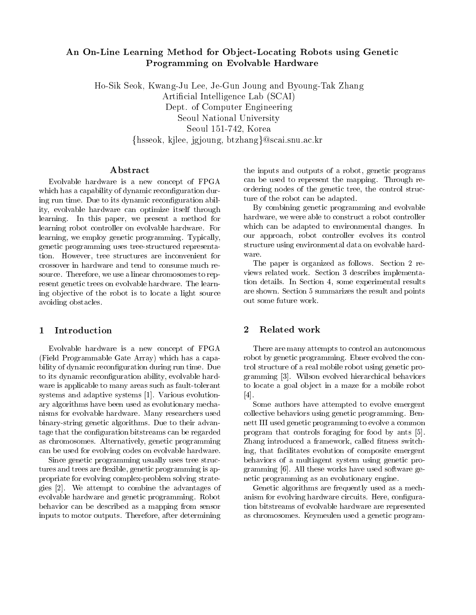# An On-Line Learning Method for Ob ject-Locating Robots using Genetic Programming on Evolvable Hardware

Ho-Sik Seok Kwang-Ju Lee Je-Gun Joung and Byoung-Tak Zhang Artificial Intelligence Lab (SCAI) Dept. of Computer Engineering Seoul National University Seoul -  Korea {hsseok, kjlee, jgjoung, btzhang}@scai.snu.ac.kr

## ${\bf Abstract}$

Evolvable hardware is a new concept of FPGA which has a capability of dynamic reconing run time Due to its dynamic recon-guration abil ity, evolvable hardware can optimize itself through learning. In this paper, we present a method for learning robot controller on evolvable hardware. For learning, we employ genetic programming. Typically, genetic programming uses treestructured representa tion. However, tree structures are inconvenient for crossover in hardware and tend to consume much re source. Therefore, we use a linear chromosomes to represent genetic trees on evolvable hardware. The learning ob jective of the robot is to locate a light source avoiding obstacles

## Introduction

Evolvable hardware is a new concept of FPGA (Field Programmable Gate Array) which has a capa- $\mathcal{L}$  . The dynamic reconstruction during run time  $\mathcal{L}$  run time  $\mathcal{L}$ to its dynamics reconstruction ability evolvation ability evolvation of  $\alpha$ ware is applicable to many areas such as fault-tolerant systems and adaptive systems Various evolution ary algorithms have been used as evolutionary mecha nisms for evolvable hardware Many researchers used binary-string genetic algorithms. Due to their advantage that the con-guestion bitstreams can be regarded the region as chromosomes. Alternatively, genetic programming can be used for evolving codes on evolvable hardware

Since genetic programming usually uses tree struc tures and trees are flexible, genetic programming is appropriate for evolving complex-problem solving strate- $\mathcal{W}$  at the advantages of a dvantages of a dvantages of a dvantages of a dvantages of advantages of a evolvable hardware and genetic programming Robot behavior can be described as a mapping from sensor inputs to motor outputs. Therefore, after determining

the inputs and outputs of a robot, genetic programs can be used to represent the mapping. Through reordering nodes of the genetic tree, the control structure of the robot can be adapted

By combining genetic programming and evolvable hardware, we were able to construct a robot controller which can be adapted to environmental changes. In our approach, robot controller evolves its control structure using environmental data on evolvable hard ware

The paper is organized as follows. Section 2 reviews related work. Section 3 describes implementation details. In Section 4, some experimental results are shown. Section 5 summarizes the result and points out some future work

## 2 Related work

There are many attempts to control an autonomous robot by genetic programming. Ebner evolved the control structure of a real mobile robot using genetic pro  $\alpha$ -wilson evolved hierarchical behaviors behaviors behaviors behaviors behaviors behaviors behaviors behaviors behaviors behaviors behaviors behaviors behaviors behaviors behaviors behaviors behaviors behaviors behavior to locate a goal ob ject in a maze for a mobile robot  $\lceil 4 \rceil$ .

Some authors have attempted to evolve emergent collective behaviors using genetic programming. Bennett III used genetic programming to evolve a common program that controls for foraging for form  $\eta$  for  $\eta$ Zhang introduced a framework called -tness switch ing, that facilitates evolution of composite emergent behaviors of a multiagent system using genetic pro gramming All these works have used software ge netic programming as an evolutionary engine

Genetic algorithms are frequently used as a mech anism for evolving hardware circuits Here con-gura tion bitstreams of evolvable hardware are represented as chromosomes Keymeulen used a genetic program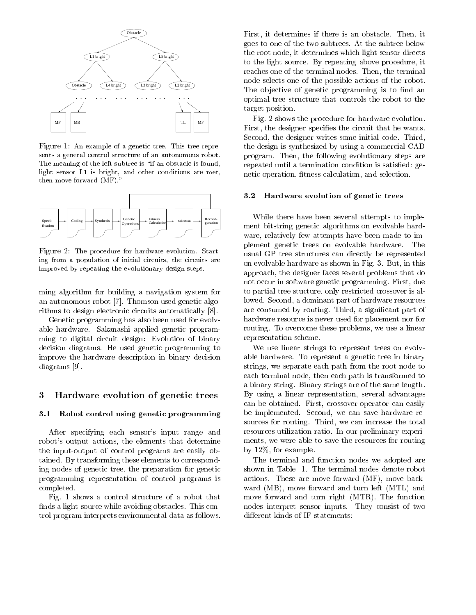

Figure An example of a genetic tree- This tree repre sents a general control structure of an autonomous robot. The meaning of the left subtree is "if an obstacle is found, light sensor L1 is bright, and other conditions are met. then move forward  $(MF)$ ."



Figure The procedure for hardware evolution- Start ing from a population of initial circuits, the circuits are improved by repeating the evolutionary design steps-

ming algorithm for building a navigation system for an autonomous robot Thomson used genetic algo rithms to design electronic circuits automatically

Genetic programming has also been used for evolv able hardware. Sakanashi applied genetic programming to digital circuit design: Evolution of binary decision diagrams. He used genetic programming to improve the hardware description in binary decision diagrams [9].

#### 3 Hardware evolution of genetic trees

#### $\mathbf{u}$ . Robot control using genetic programming  $\mathbf{v} \in \mathbb{R}$

After specifying each sensor's input range and robot's output actions, the elements that determine the input-output of control programs are easily obtained. By transforming these elements to corresponding nodes of genetic tree, the preparation for genetic programming representation of control programs is completed

Fig. 1 shows a control structure of a robot that -nds a lightsource while avoiding obstacles This con trol program interprets environmental data as follows

First, it determines if there is an obstacle. Then, it goes to one of the two subtrees At the subtree below the root node it determines which light sensor directs to the light source. By repeating above procedure, it reaches one of the terminal nodes. Then, the terminal node selects one of the possible actions of the robot The ob jective of genetic programming is to -nd an optimal tree structure that controls the robot to the target position

Fig. 2 shows the procedure for hardware evolution. First the designer speci-es the circuit that he wants Second, the designer writes some initial code. Third, the design is synthesized by using a commercial CAD program. Then, the following evolutionary steps are repeated until a termination condition is satis-ed ge netic operation -tness calculation and selection

#### Hardware evolution of genetic trees

While there have been several attempts to imple ment bitstring genetic algorithms on evolvable hard ware, relatively few attempts have been made to implement genetic trees on evolvable hardware The usual GP tree structures can directly be represented on evolvable hardware as shown in Fig. 3. But, in this approach the designer faces several problems that do not occur in software genetic programming. First, due to partial tree stucture, only restricted crossover is allowed. Second, a dominant part of hardware resources are consumed by routing Third a signi-distribution of the consumed by routing Third a signihardware resource is never used for placement nor for routing. To overcome these problems, we use a linear representation scheme

We use linear strings to represent trees on evolvable hardware. To represent a genetic tree in binary strings, we separate each path from the root node to each terminal node, then each path is transformed to a binary string. Binary strings are of the same length. By using a linear representation, several advantages can be obtained. First, crossover operator can easily be implemented. Second, we can save hardware resources for routing. Third, we can increase the total resources utilization ratio. In our preliminary experiments, we were able to save the resources for routing by  $12\%$ , for example.

The terminal and function nodes we adopted are shown in Table 1. The terminal nodes denote robot actions. These are move forward  $(MF)$ , move backward (MB), move forward and turn left (MTL) and move forward and turn right (MTR). The function nodes interpret sensor inputs. They consist of two different kinds of IF-statements: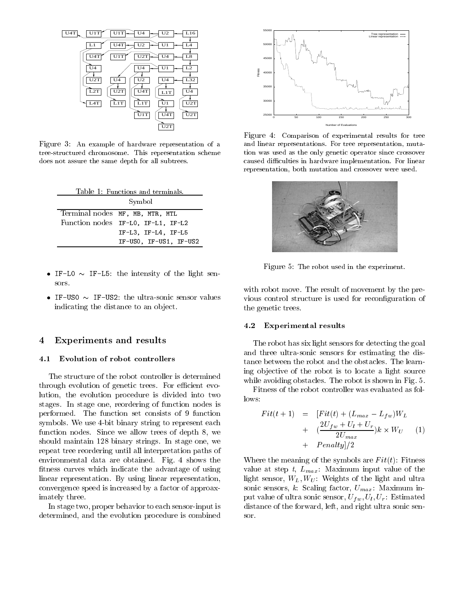

Figure An example of hardware representation of a treestructured chromosome- This representation scheme does not assure the same depth for all subtrees.

| Table 1: Functions and terminals.  |
|------------------------------------|
| Symbol                             |
| Terminal nodes MF, MB, MTR, MTL    |
| Function nodes IF-LO, IF-L1, IF-L2 |
| $IF-L3, IF-L4, IF-L5$              |
| IF-USO, IF-US1, IF-US2             |

- if-contract the intensity of the light sensor in the light sensor of the light sensor in the light sensor of the light sensor in the light sensor in the light sensor in the light sensor in the light sensor in the light sen sors
- indicating the distance to an object.

## Experiments and results

#### Evolution of robot controllers  $4.1$

The structure of the robot controller is determined through evolution of genetic trees. For efficient evolution, the evolution procedure is divided into two stages. In stage one, reordering of function nodes is performed. The function set consists of 9 function symbols. We use 4-bit binary string to represent each function nodes. Since we allow trees of depth 8, we should maintain  $128$  binary strings. In stage one, we repeat tree reordering until all interpretation paths of environmental data are obtained. Fig. 4 shows the -tness curves which indicate the advantage of using linear representation. By using linear representation, convergence speed is increased by a factor of approax imately three

In stage two, proper behavior to each sensor-input is determined, and the evolution procedure is combined



Figure 4: Comparison of experimental results for tree and linear representations- For tree representation muta tion was used as the only genetic operator since crossover caused discussed and many culture implementation- and complete in the complete order of the complete order of representation, both mutation and crossover were used.



Figure 5: The robot used in the experiment.

with robot move. The result of movement by the previcture is used for reconstructure is used for reconstructure is used for  $\alpha$ the genetic trees

#### -Experimental results

The robot has six light sensors for detecting the goal and three ultra-sonic sensors for estimating the distance between the robot and the obstacles. The learning ob jective of the robot is to locate a light source while avoiding obstacles. The robot is shown in Fig. 5.

Fitness of the robot controller was evaluated as fol lows

$$
Fit(t+1) = [Fit(t) + (L_{max} - L_{fw})W_L
$$
  
+ 
$$
(\frac{2U_{fw} + U_l + U_r}{2U_{max}})k \times W_U
$$
 (1)  
+ 
$$
Penalty]/2
$$

Where the meaning of the symbols are  $Fit(t)$ : Fitness value at step t,  $L_{max}$ . Maximum input value of the light sensor,  $W_L, W_U$ : Weights of the light and ultra sonic sensors, k Scaling factor,  $U_{max}$ : Maximum input value of ultra sonic sensor,  $U_{fw}$ ,  $U_l$ ,  $U_r$ : Estimated distance of the forward, left, and right ultra sonic sensor